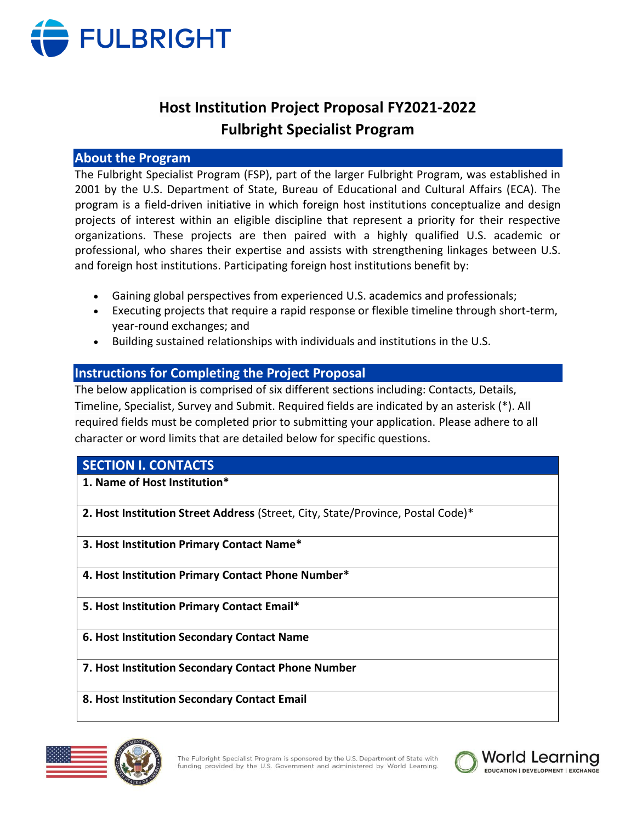

# **Host Institution Project Proposal FY2021-2022 Fulbright Specialist Program**

# **About the Program**

The Fulbright Specialist Program (FSP), part of the larger Fulbright Program, was established in 2001 by the U.S. Department of State, Bureau of Educational and Cultural Affairs (ECA). The program is a field-driven initiative in which foreign host institutions conceptualize and design projects of interest within an eligible discipline that represent a priority for their respective organizations. These projects are then paired with a highly qualified U.S. academic or professional, who shares their expertise and assists with strengthening linkages between U.S. and foreign host institutions. Participating foreign host institutions benefit by:

- Gaining global perspectives from experienced U.S. academics and professionals;
- Executing projects that require a rapid response or flexible timeline through short-term, year-round exchanges; and
- Building sustained relationships with individuals and institutions in the U.S.

# **Instructions for Completing the Project Proposal**

The below application is comprised of six different sections including: Contacts, Details, Timeline, Specialist, Survey and Submit. Required fields are indicated by an asterisk (\*). All required fields must be completed prior to submitting your application. Please adhere to all character or word limits that are detailed below for specific questions.

# **SECTION I. CONTACTS**

**1. Name of Host Institution\***

**2. Host Institution Street Address** (Street, City, State/Province, Postal Code)\*

- **3. Host Institution Primary Contact Name\***
- **4. Host Institution Primary Contact Phone Number\***
- **5. Host Institution Primary Contact Email\***
- **6. Host Institution Secondary Contact Name**
- **7. Host Institution Secondary Contact Phone Number**
- **8. Host Institution Secondary Contact Email**



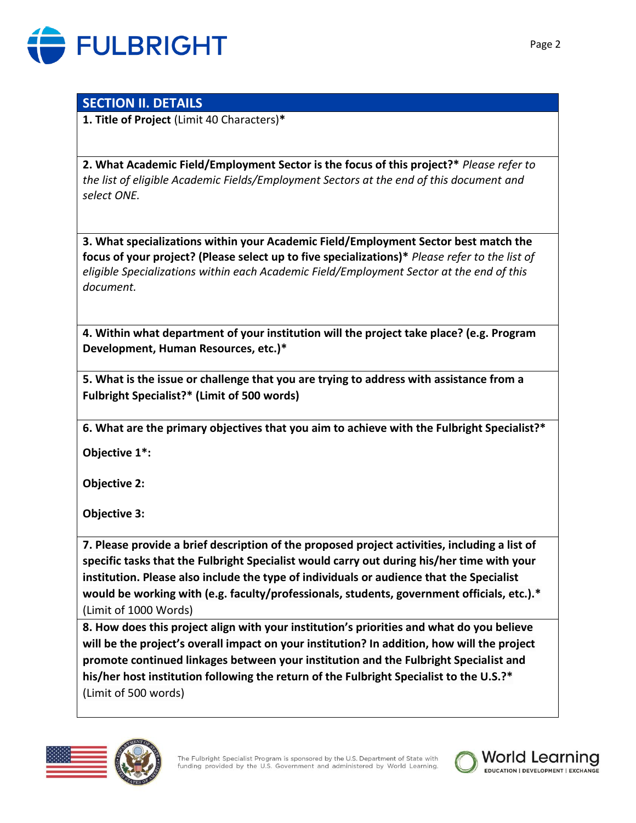

# **SECTION II. DETAILS**

**1. Title of Project** (Limit 40 Characters)**\***

**2. What Academic Field/Employment Sector is the focus of this project?\*** *Please refer to the list of eligible Academic Fields/Employment Sectors at the end of this document and select ONE.*

**3. What specializations within your Academic Field/Employment Sector best match the focus of your project? (Please select up to five specializations)\*** *Please refer to the list of eligible Specializations within each Academic Field/Employment Sector at the end of this document.*

**4. Within what department of your institution will the project take place? (e.g. Program Development, Human Resources, etc.)\***

**5. What is the issue or challenge that you are trying to address with assistance from a Fulbright Specialist?\* (Limit of 500 words)**

**6. What are the primary objectives that you aim to achieve with the Fulbright Specialist?\***

**Objective 1\*:**

**Objective 2:**

**Objective 3:**

**7. Please provide a brief description of the proposed project activities, including a list of specific tasks that the Fulbright Specialist would carry out during his/her time with your institution. Please also include the type of individuals or audience that the Specialist would be working with (e.g. faculty/professionals, students, government officials, etc.).\***  (Limit of 1000 Words)

**8. How does this project align with your institution's priorities and what do you believe will be the project's overall impact on your institution? In addition, how will the project promote continued linkages between your institution and the Fulbright Specialist and his/her host institution following the return of the Fulbright Specialist to the U.S.?\***  (Limit of 500 words)





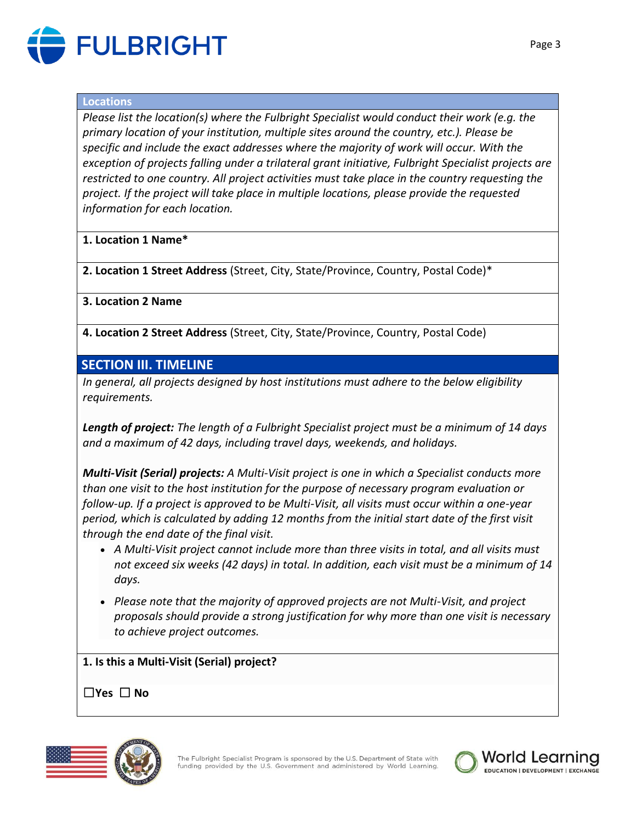

### **Locations**

*Please list the location(s) where the Fulbright Specialist would conduct their work (e.g. the primary location of your institution, multiple sites around the country, etc.). Please be specific and include the exact addresses where the majority of work will occur. With the exception of projects falling under a trilateral grant initiative, Fulbright Specialist projects are restricted to one country. All project activities must take place in the country requesting the project. If the project will take place in multiple locations, please provide the requested information for each location.*

# **1. Location 1 Name\***

**2. Location 1 Street Address** (Street, City, State/Province, Country, Postal Code)\*

# **3. Location 2 Name**

**4. Location 2 Street Address** (Street, City, State/Province, Country, Postal Code)

# **SECTION III. TIMELINE**

*In general, all projects designed by host institutions must adhere to the below eligibility requirements.*

*Length of project: The length of a Fulbright Specialist project must be a minimum of 14 days and a maximum of 42 days, including travel days, weekends, and holidays.*

*Multi-Visit (Serial) projects: A Multi-Visit project is one in which a Specialist conducts more than one visit to the host institution for the purpose of necessary program evaluation or follow-up. If a project is approved to be Multi-Visit, all visits must occur within a one-year period, which is calculated by adding 12 months from the initial start date of the first visit through the end date of the final visit.*

- *A Multi-Visit project cannot include more than three visits in total, and all visits must not exceed six weeks (42 days) in total. In addition, each visit must be a minimum of 14 days.*
- *Please note that the majority of approved projects are not Multi-Visit, and project proposals should provide a strong justification for why more than one visit is necessary to achieve project outcomes.*

**1. Is this a Multi-Visit (Serial) project?** 

☐**Yes** ☐ **No**



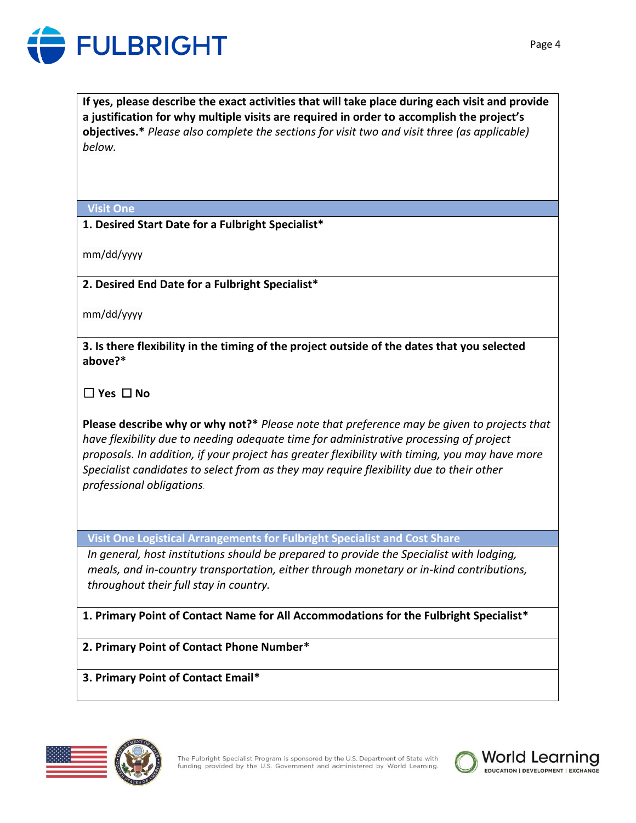

**If yes, please describe the exact activities that will take place during each visit and provide a justification for why multiple visits are required in order to accomplish the project's objectives.\*** *Please also complete the sections for visit two and visit three (as applicable) below.*

### **Visit One**

# **1. Desired Start Date for a Fulbright Specialist\***

mm/dd/yyyy

**2. Desired End Date for a Fulbright Specialist\***

mm/dd/yyyy

**3. Is there flexibility in the timing of the project outside of the dates that you selected above?\***

☐ **Yes** ☐ **No**

**Please describe why or why not?\*** *Please note that preference may be given to projects that have flexibility due to needing adequate time for administrative processing of project proposals. In addition, if your project has greater flexibility with timing, you may have more Specialist candidates to select from as they may require flexibility due to their other professional obligations.*

**Visit One Logistical Arrangements for Fulbright Specialist and Cost Share**

*In general, host institutions should be prepared to provide the Specialist with lodging, meals, and in-country transportation, either through monetary or in-kind contributions, throughout their full stay in country.* 

**1. Primary Point of Contact Name for All Accommodations for the Fulbright Specialist\***

**2. Primary Point of Contact Phone Number\***

**3. Primary Point of Contact Email\***





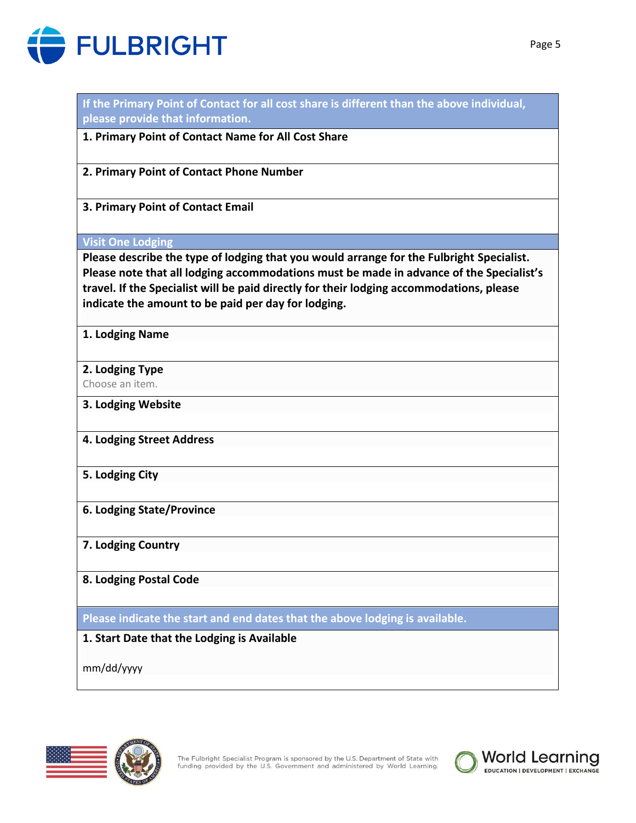

| please provide that information.                                                                                                                                                                                                           |
|--------------------------------------------------------------------------------------------------------------------------------------------------------------------------------------------------------------------------------------------|
| 1. Primary Point of Contact Name for All Cost Share                                                                                                                                                                                        |
| 2. Primary Point of Contact Phone Number                                                                                                                                                                                                   |
| 3. Primary Point of Contact Email                                                                                                                                                                                                          |
| <b>Visit One Lodging</b>                                                                                                                                                                                                                   |
| Please describe the type of lodging that you would arrange for the Fulbright Specialist.                                                                                                                                                   |
| Please note that all lodging accommodations must be made in advance of the Specialist's<br>travel. If the Specialist will be paid directly for their lodging accommodations, please<br>indicate the amount to be paid per day for lodging. |
| 1. Lodging Name                                                                                                                                                                                                                            |
| 2. Lodging Type                                                                                                                                                                                                                            |
| Choose an item.                                                                                                                                                                                                                            |
| 3. Lodging Website                                                                                                                                                                                                                         |
| 4. Lodging Street Address                                                                                                                                                                                                                  |
| 5. Lodging City                                                                                                                                                                                                                            |
| <b>6. Lodging State/Province</b>                                                                                                                                                                                                           |
| 7. Lodging Country                                                                                                                                                                                                                         |
| 8. Lodging Postal Code                                                                                                                                                                                                                     |
| Please indicate the start and end dates that the above lodging is available.                                                                                                                                                               |
| 1. Start Date that the Lodging is Available                                                                                                                                                                                                |
| mm/dd/yyyy                                                                                                                                                                                                                                 |

**If the Primary Point of Contact for all cost share is different than the above individual,** 



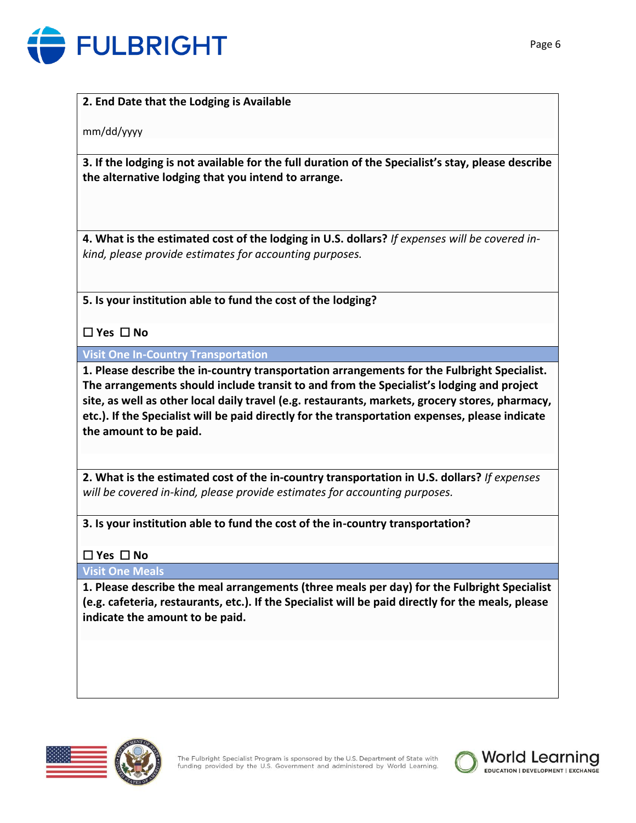

# **2. End Date that the Lodging is Available**

mm/dd/yyyy

**3. If the lodging is not available for the full duration of the Specialist's stay, please describe the alternative lodging that you intend to arrange.**

**4. What is the estimated cost of the lodging in U.S. dollars?** *If expenses will be covered inkind, please provide estimates for accounting purposes.*

**5. Is your institution able to fund the cost of the lodging?**

☐ **Yes** ☐ **No**

**Visit One In-Country Transportation**

**1. Please describe the in-country transportation arrangements for the Fulbright Specialist. The arrangements should include transit to and from the Specialist's lodging and project site, as well as other local daily travel (e.g. restaurants, markets, grocery stores, pharmacy, etc.). If the Specialist will be paid directly for the transportation expenses, please indicate the amount to be paid.**

**2. What is the estimated cost of the in-country transportation in U.S. dollars?** *If expenses will be covered in-kind, please provide estimates for accounting purposes.*

**3. Is your institution able to fund the cost of the in-country transportation?**

# ☐ **Yes** ☐ **No**

**Visit One Meals**

**1. Please describe the meal arrangements (three meals per day) for the Fulbright Specialist (e.g. cafeteria, restaurants, etc.). If the Specialist will be paid directly for the meals, please indicate the amount to be paid.**



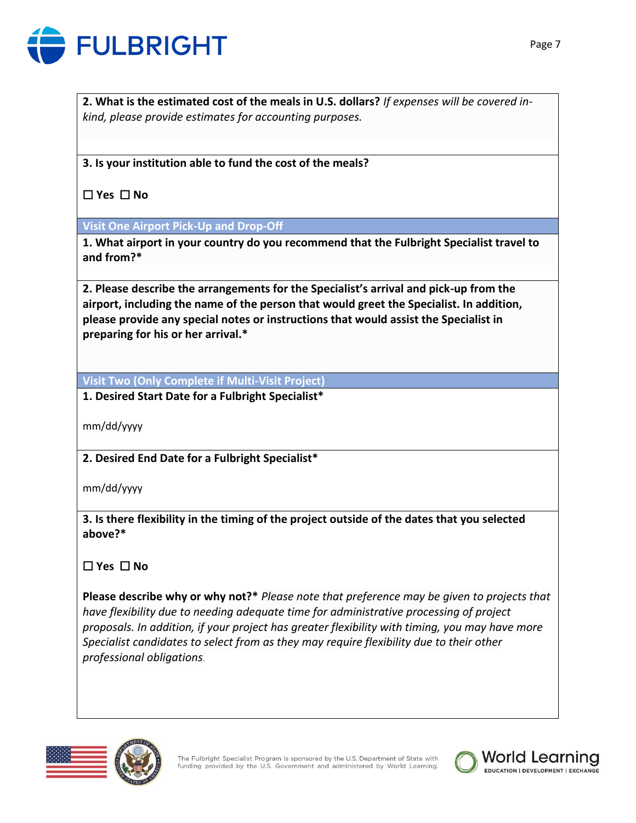

**2. What is the estimated cost of the meals in U.S. dollars?** *If expenses will be covered inkind, please provide estimates for accounting purposes.*

**3. Is your institution able to fund the cost of the meals?**

☐ **Yes** ☐ **No**

**Visit One Airport Pick-Up and Drop-Off**

**1. What airport in your country do you recommend that the Fulbright Specialist travel to and from?\***

**2. Please describe the arrangements for the Specialist's arrival and pick-up from the airport, including the name of the person that would greet the Specialist. In addition, please provide any special notes or instructions that would assist the Specialist in preparing for his or her arrival.\***

**Visit Two (Only Complete if Multi-Visit Project)**

**1. Desired Start Date for a Fulbright Specialist\*** 

mm/dd/yyyy

**2. Desired End Date for a Fulbright Specialist\***

mm/dd/yyyy

**3. Is there flexibility in the timing of the project outside of the dates that you selected above?\***

☐ **Yes** ☐ **No**

**Please describe why or why not?\*** *Please note that preference may be given to projects that have flexibility due to needing adequate time for administrative processing of project proposals. In addition, if your project has greater flexibility with timing, you may have more Specialist candidates to select from as they may require flexibility due to their other professional obligations.*



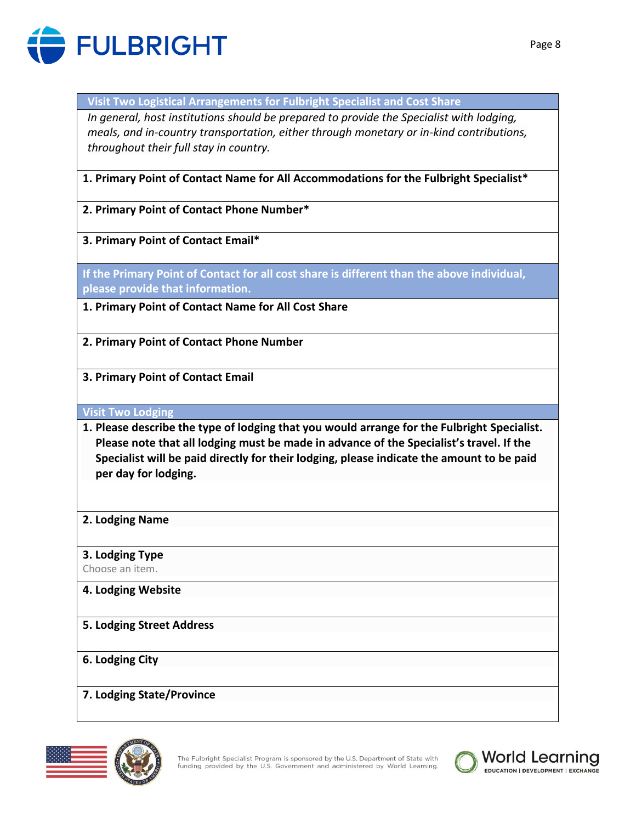

**Visit Two Logistical Arrangements for Fulbright Specialist and Cost Share**

*In general, host institutions should be prepared to provide the Specialist with lodging, meals, and in-country transportation, either through monetary or in-kind contributions, throughout their full stay in country.* 

**1. Primary Point of Contact Name for All Accommodations for the Fulbright Specialist\***

**2. Primary Point of Contact Phone Number\***

**3. Primary Point of Contact Email\***

**If the Primary Point of Contact for all cost share is different than the above individual, please provide that information.**

**1. Primary Point of Contact Name for All Cost Share**

**2. Primary Point of Contact Phone Number**

**3. Primary Point of Contact Email**

**Visit Two Lodging**

- **1. Please describe the type of lodging that you would arrange for the Fulbright Specialist. Please note that all lodging must be made in advance of the Specialist's travel. If the Specialist will be paid directly for their lodging, please indicate the amount to be paid per day for lodging.**
- **2. Lodging Name**

**3. Lodging Type**

Choose an item.

- **4. Lodging Website**
- **5. Lodging Street Address**

**6. Lodging City**

**7. Lodging State/Province**



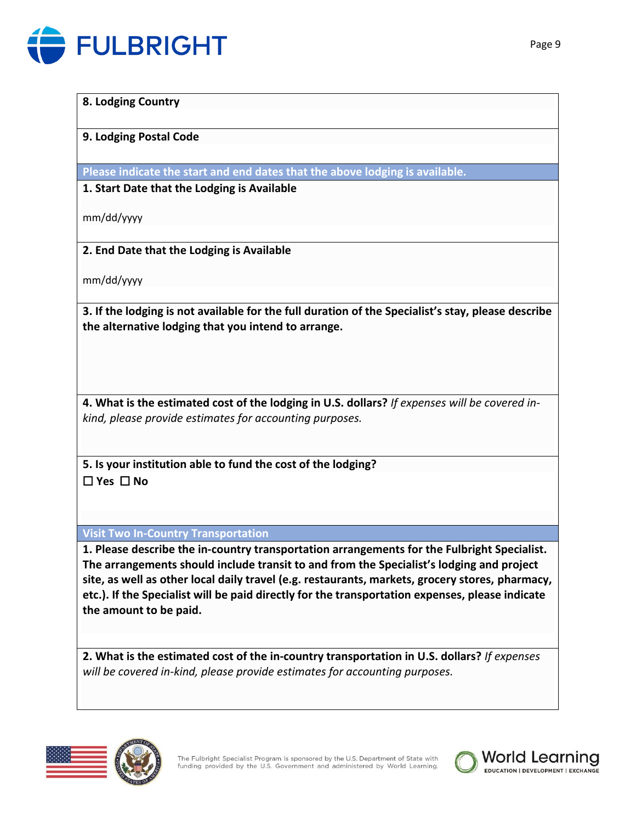

#### **8. Lodging Country**

# **9. Lodging Postal Code**

**Please indicate the start and end dates that the above lodging is available.**

# **1. Start Date that the Lodging is Available**

mm/dd/yyyy

# **2. End Date that the Lodging is Available**

mm/dd/yyyy

**3. If the lodging is not available for the full duration of the Specialist's stay, please describe the alternative lodging that you intend to arrange.**

**4. What is the estimated cost of the lodging in U.S. dollars?** *If expenses will be covered inkind, please provide estimates for accounting purposes.*

**5. Is your institution able to fund the cost of the lodging?** ☐ **Yes** ☐ **No**

**Visit Two In-Country Transportation**

**1. Please describe the in-country transportation arrangements for the Fulbright Specialist. The arrangements should include transit to and from the Specialist's lodging and project site, as well as other local daily travel (e.g. restaurants, markets, grocery stores, pharmacy, etc.). If the Specialist will be paid directly for the transportation expenses, please indicate the amount to be paid.**

**2. What is the estimated cost of the in-country transportation in U.S. dollars?** *If expenses will be covered in-kind, please provide estimates for accounting purposes.*





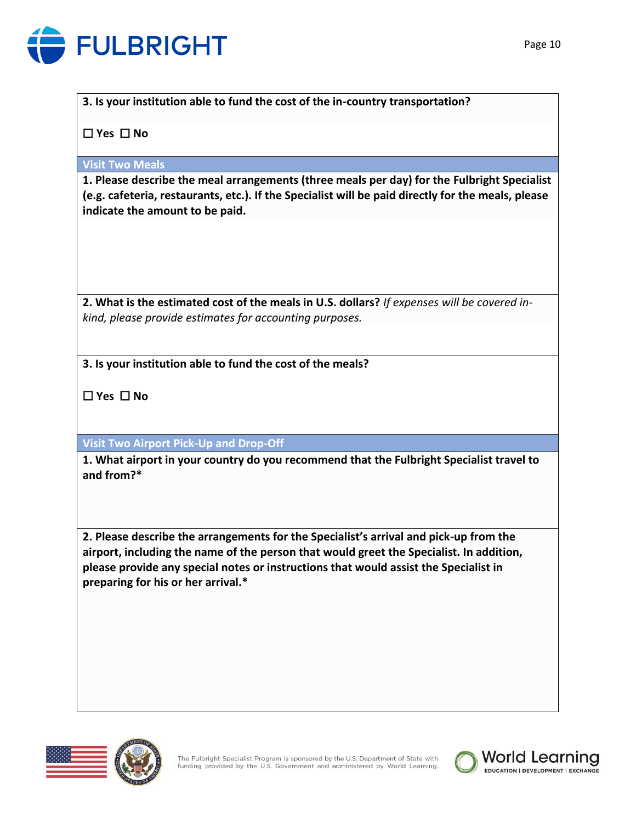

**3. Is your institution able to fund the cost of the in-country transportation?**

☐ **Yes** ☐ **No**

**Visit Two Meals**

**1. Please describe the meal arrangements (three meals per day) for the Fulbright Specialist (e.g. cafeteria, restaurants, etc.). If the Specialist will be paid directly for the meals, please indicate the amount to be paid.**

**2. What is the estimated cost of the meals in U.S. dollars?** *If expenses will be covered inkind, please provide estimates for accounting purposes.*

**3. Is your institution able to fund the cost of the meals?**

☐ **Yes** ☐ **No**

**Visit Two Airport Pick-Up and Drop-Off**

**1. What airport in your country do you recommend that the Fulbright Specialist travel to and from?\***

**2. Please describe the arrangements for the Specialist's arrival and pick-up from the airport, including the name of the person that would greet the Specialist. In addition, please provide any special notes or instructions that would assist the Specialist in preparing for his or her arrival.\***





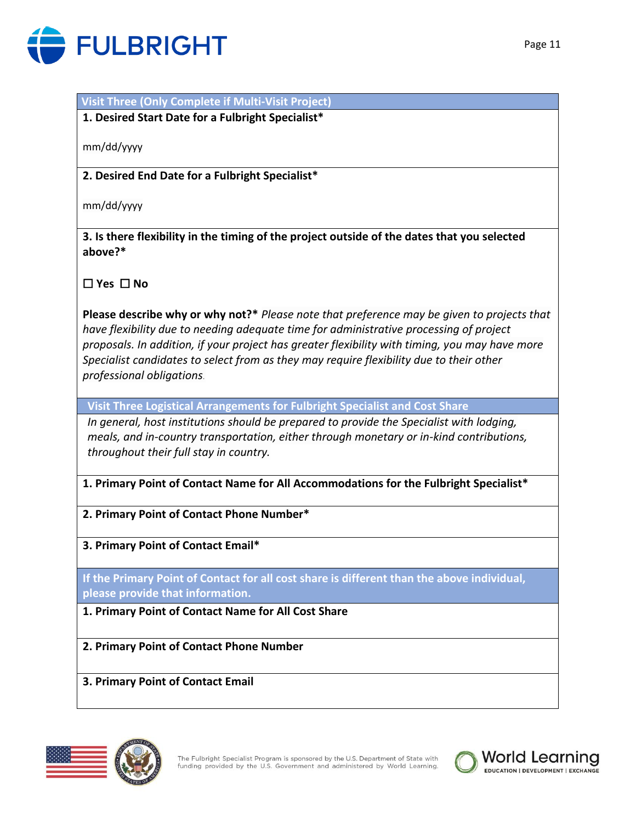

# **Visit Three (Only Complete if Multi-Visit Project)**

**1. Desired Start Date for a Fulbright Specialist\*** 

mm/dd/yyyy

**2. Desired End Date for a Fulbright Specialist\***

mm/dd/yyyy

**3. Is there flexibility in the timing of the project outside of the dates that you selected above?\***

☐ **Yes** ☐ **No**

**Please describe why or why not?\*** *Please note that preference may be given to projects that have flexibility due to needing adequate time for administrative processing of project proposals. In addition, if your project has greater flexibility with timing, you may have more Specialist candidates to select from as they may require flexibility due to their other professional obligations.*

**Visit Three Logistical Arrangements for Fulbright Specialist and Cost Share**

*In general, host institutions should be prepared to provide the Specialist with lodging, meals, and in-country transportation, either through monetary or in-kind contributions, throughout their full stay in country.* 

**1. Primary Point of Contact Name for All Accommodations for the Fulbright Specialist\***

**2. Primary Point of Contact Phone Number\***

**3. Primary Point of Contact Email\***

**If the Primary Point of Contact for all cost share is different than the above individual, please provide that information.**

**1. Primary Point of Contact Name for All Cost Share**

**2. Primary Point of Contact Phone Number**

**3. Primary Point of Contact Email**



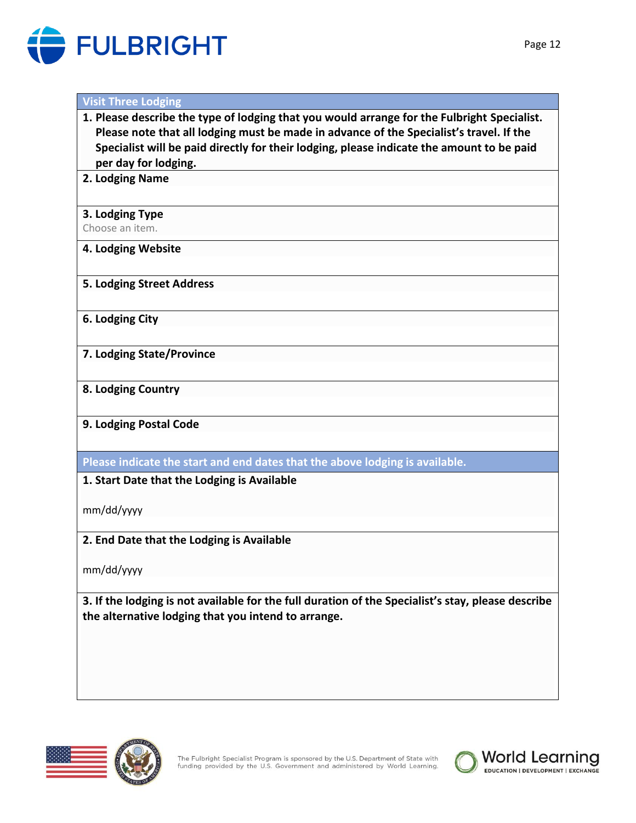

### **Visit Three Lodging**

- **1. Please describe the type of lodging that you would arrange for the Fulbright Specialist. Please note that all lodging must be made in advance of the Specialist's travel. If the Specialist will be paid directly for their lodging, please indicate the amount to be paid per day for lodging.**
- **2. Lodging Name**

#### **3. Lodging Type**

Choose an item.

### **4. Lodging Website**

#### **5. Lodging Street Address**

**6. Lodging City**

**7. Lodging State/Province**

### **8. Lodging Country**

# **9. Lodging Postal Code**

**Please indicate the start and end dates that the above lodging is available.**

# **1. Start Date that the Lodging is Available**

mm/dd/yyyy

# **2. End Date that the Lodging is Available**

mm/dd/yyyy

**3. If the lodging is not available for the full duration of the Specialist's stay, please describe the alternative lodging that you intend to arrange.**



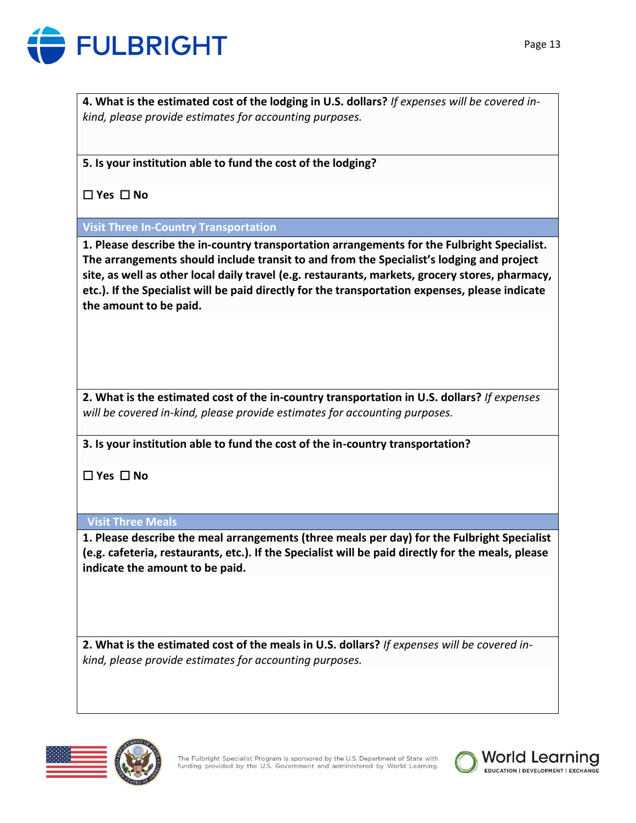

**4. What is the estimated cost of the lodging in U.S. dollars?** *If expenses will be covered inkind, please provide estimates for accounting purposes.*

**5. Is your institution able to fund the cost of the lodging?**

☐ **Yes** ☐ **No**

# **Visit Three In-Country Transportation**

**1. Please describe the in-country transportation arrangements for the Fulbright Specialist. The arrangements should include transit to and from the Specialist's lodging and project site, as well as other local daily travel (e.g. restaurants, markets, grocery stores, pharmacy, etc.). If the Specialist will be paid directly for the transportation expenses, please indicate the amount to be paid.**

**2. What is the estimated cost of the in-country transportation in U.S. dollars?** *If expenses will be covered in-kind, please provide estimates for accounting purposes.*

**3. Is your institution able to fund the cost of the in-country transportation?**

☐ **Yes** ☐ **No**

# **Visit Three Meals**

**1. Please describe the meal arrangements (three meals per day) for the Fulbright Specialist (e.g. cafeteria, restaurants, etc.). If the Specialist will be paid directly for the meals, please indicate the amount to be paid.**

**2. What is the estimated cost of the meals in U.S. dollars?** *If expenses will be covered inkind, please provide estimates for accounting purposes.*



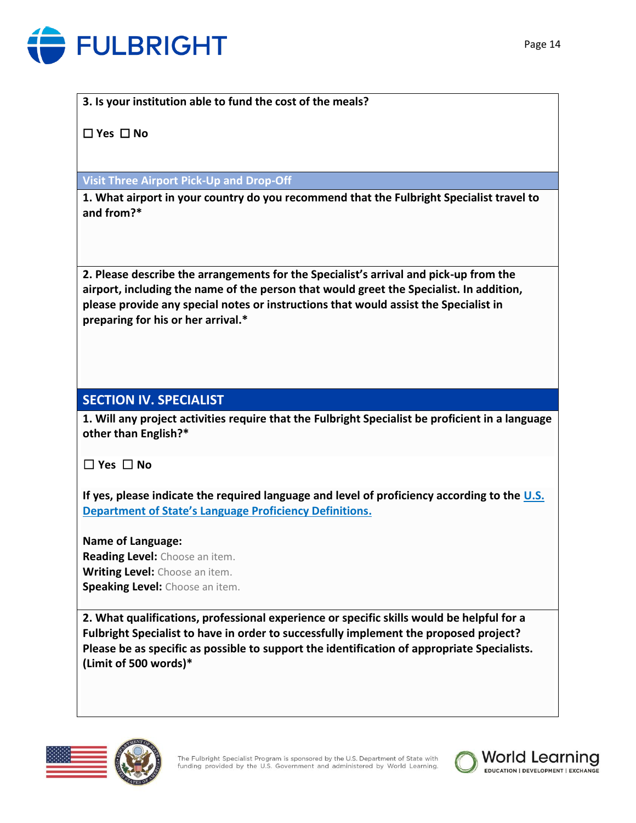

# **3. Is your institution able to fund the cost of the meals?**

☐ **Yes** ☐ **No**

# **Visit Three Airport Pick-Up and Drop-Off**

**1. What airport in your country do you recommend that the Fulbright Specialist travel to and from?\***

**2. Please describe the arrangements for the Specialist's arrival and pick-up from the airport, including the name of the person that would greet the Specialist. In addition, please provide any special notes or instructions that would assist the Specialist in preparing for his or her arrival.\***

# **SECTION IV. SPECIALIST**

**1. Will any project activities require that the Fulbright Specialist be proficient in a language other than English?\***

☐ **Yes** ☐ **No**

**If yes, please indicate the required language and level of proficiency according to the [U.S.](https://careers.state.gov/gateway/lang_prof_def.html)  [Department of State's Language Proficiency Definitions](https://careers.state.gov/gateway/lang_prof_def.html).**

**Name of Language: Reading Level:** Choose an item. **Writing Level:** Choose an item. **Speaking Level:** Choose an item.

**2. What qualifications, professional experience or specific skills would be helpful for a Fulbright Specialist to have in order to successfully implement the proposed project? Please be as specific as possible to support the identification of appropriate Specialists. (Limit of 500 words)\***





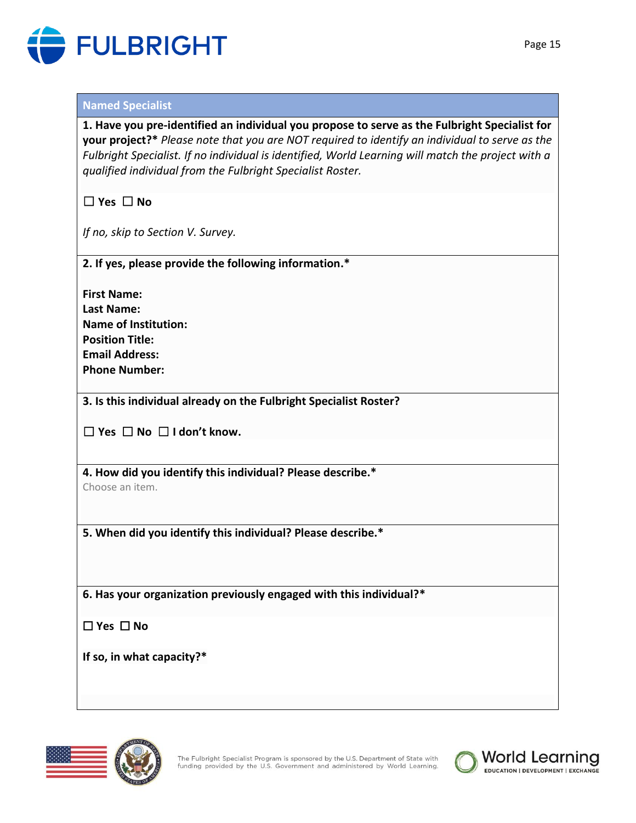

### **Named Specialist**

**1. Have you pre-identified an individual you propose to serve as the Fulbright Specialist for your project?\*** *Please note that you are NOT required to identify an individual to serve as the Fulbright Specialist. If no individual is identified, World Learning will match the project with a qualified individual from the Fulbright Specialist Roster.*

☐ **Yes** ☐ **No**

*If no, skip to Section V. Survey.*

**2. If yes, please provide the following information.\***

**First Name: Last Name: Name of Institution: Position Title: Email Address: Phone Number:**

**3. Is this individual already on the Fulbright Specialist Roster?**

☐ **Yes** ☐ **No** ☐ **I don't know.**

**4. How did you identify this individual? Please describe.\***

Choose an item.

**5. When did you identify this individual? Please describe.\***

**6. Has your organization previously engaged with this individual?\***

☐ **Yes** ☐ **No**

**If so, in what capacity?\***





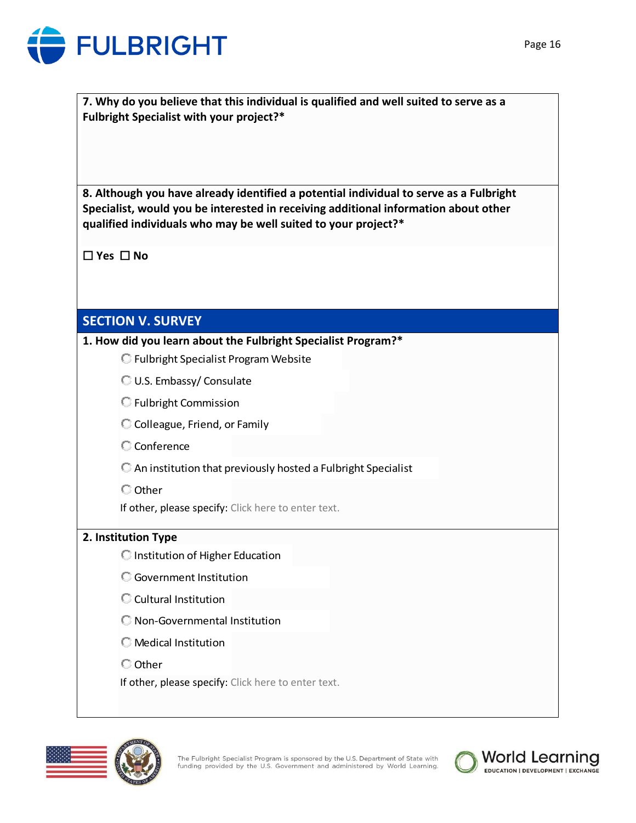

**7. Why do you believe that this individual is qualified and well suited to serve as a Fulbright Specialist with your project?\***

**8. Although you have already identified a potential individual to serve as a Fulbright Specialist, would you be interested in receiving additional information about other qualified individuals who may be well suited to your project?\***

☐ **Yes** ☐ **No**

# **SECTION V. SURVEY**

**1. How did you learn about the Fulbright Specialist Program?\***

- **C** Fulbright Specialist Program Website
- U.S. Embassy/ Consulate
- Fulbright Commission
- C Colleague, Friend, or Family
- **C** Conference
- An institution that previously hosted a Fulbright Specialist
- Other
- If other, please specify: Click here to enter text.

# **2. Institution Type**

- **C** Institution of Higher Education
- Government Institution
- C Cultural Institution
- Non-Governmental Institution
- Medical Institution
- Other

If other, please specify: Click here to enter text.





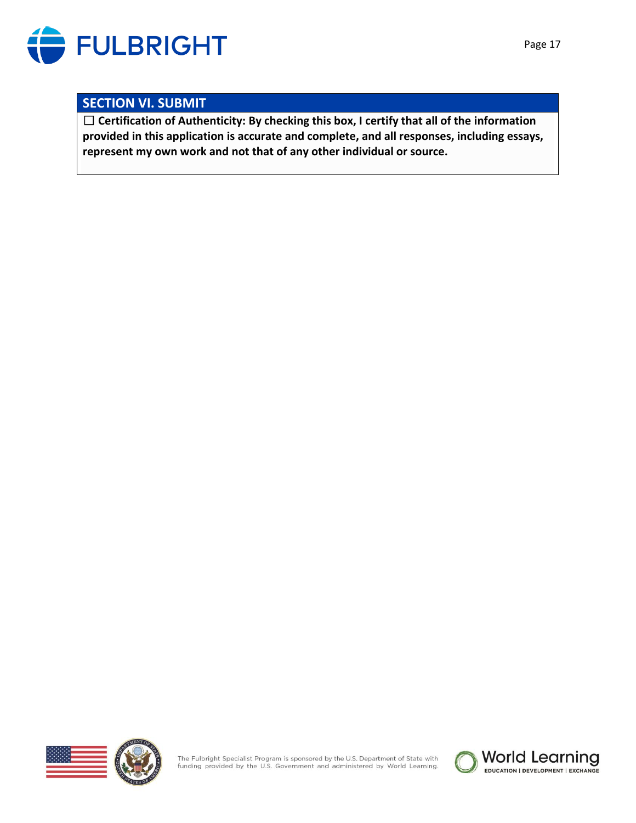

# **SECTION VI. SUBMIT**

☐ **Certification of Authenticity: By checking this box, I certify that all of the information provided in this application is accurate and complete, and all responses, including essays, represent my own work and not that of any other individual or source.**





The Fulbright Specialist Program is sponsored by the U.S. Department of State with funding provided by the U.S. Government and administered by World Learning.

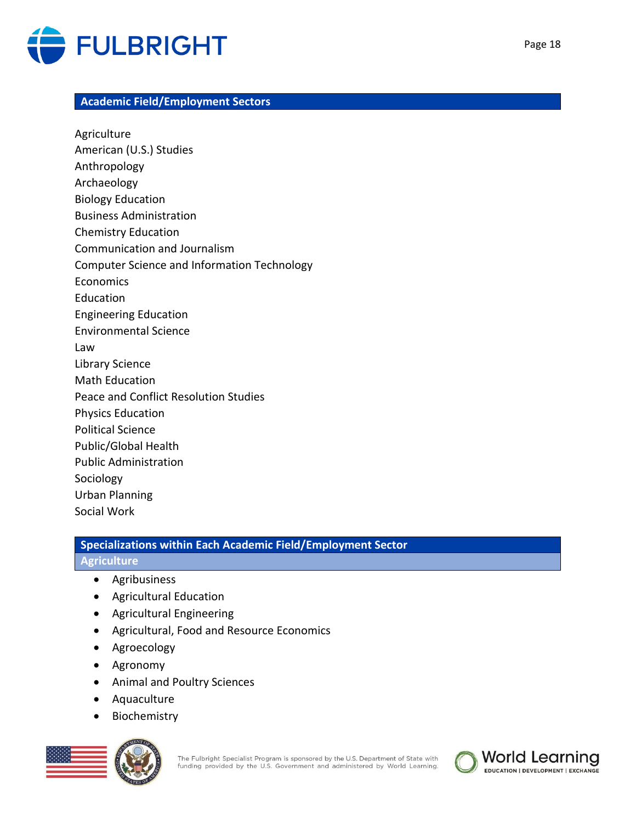

### **Academic Field/Employment Sectors**

Agriculture American (U.S.) Studies Anthropology Archaeology Biology Education Business Administration Chemistry Education Communication and Journalism Computer Science and Information Technology Economics Education Engineering Education Environmental Science Law Library Science Math Education Peace and Conflict Resolution Studies Physics Education Political Science Public/Global Health Public Administration Sociology Urban Planning Social Work

# **Specializations within Each Academic Field/Employment Sector**

#### **Agriculture**

- Agribusiness
- Agricultural Education
- Agricultural Engineering
- Agricultural, Food and Resource Economics
- Agroecology
- Agronomy
- Animal and Poultry Sciences
- Aquaculture
- Biochemistry



The Fulbright Specialist Program is sponsored by the U.S. Department of State with funding provided by the U.S. Government and administered by World Learning.

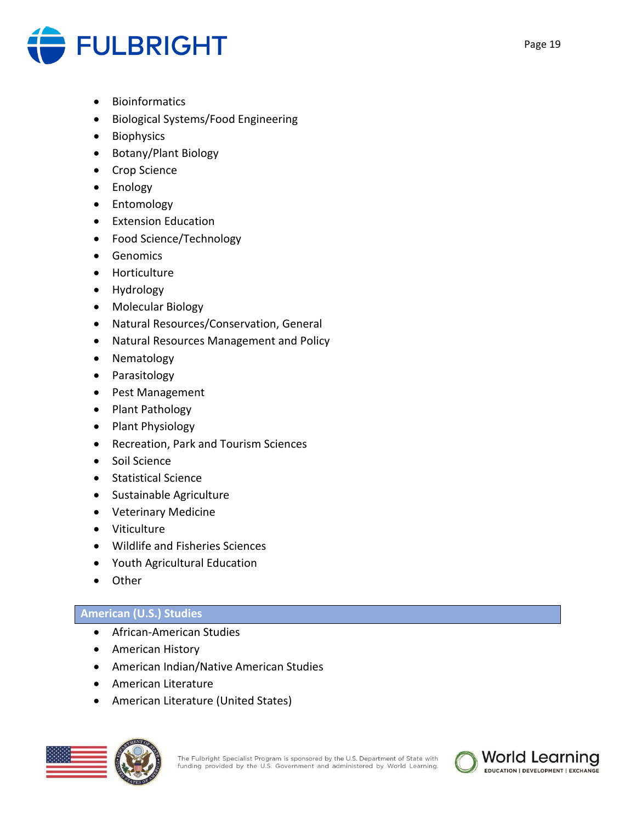

- Bioinformatics
- Biological Systems/Food Engineering
- Biophysics
- Botany/Plant Biology
- Crop Science
- Enology
- Entomology
- Extension Education
- Food Science/Technology
- Genomics
- Horticulture
- Hydrology
- Molecular Biology
- Natural Resources/Conservation, General
- Natural Resources Management and Policy
- Nematology
- Parasitology
- Pest Management
- Plant Pathology
- Plant Physiology
- Recreation, Park and Tourism Sciences
- Soil Science
- Statistical Science
- Sustainable Agriculture
- Veterinary Medicine
- Viticulture
- Wildlife and Fisheries Sciences
- Youth Agricultural Education
- Other

# **American (U.S.) Studies**

- African-American Studies
- American History
- American Indian/Native American Studies
- American Literature
- American Literature (United States)



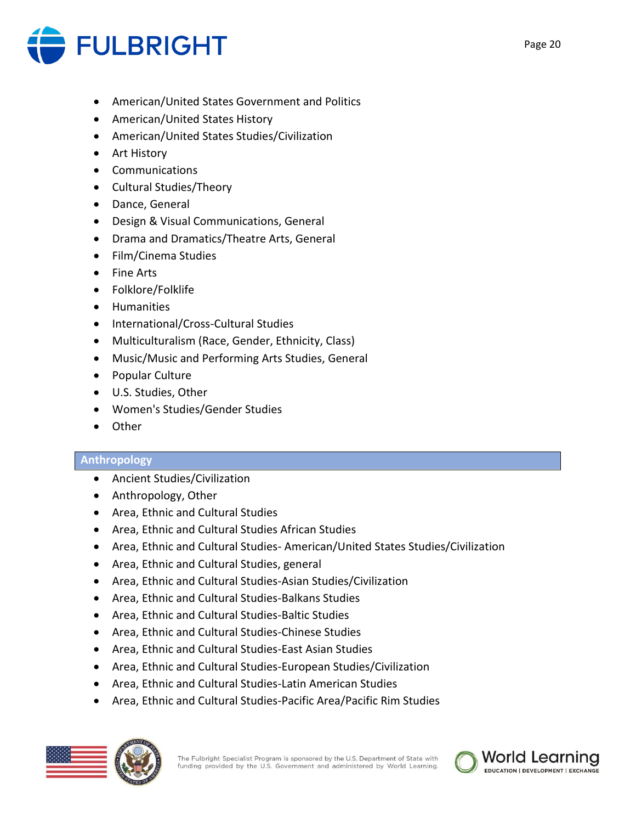

- American/United States Government and Politics
- American/United States History
- American/United States Studies/Civilization
- Art History
- Communications
- Cultural Studies/Theory
- Dance, General
- Design & Visual Communications, General
- Drama and Dramatics/Theatre Arts, General
- Film/Cinema Studies
- Fine Arts
- Folklore/Folklife
- Humanities
- International/Cross-Cultural Studies
- Multiculturalism (Race, Gender, Ethnicity, Class)
- Music/Music and Performing Arts Studies, General
- Popular Culture
- U.S. Studies, Other
- Women's Studies/Gender Studies
- Other

#### **Anthropology**

- Ancient Studies/Civilization
- Anthropology, Other
- Area, Ethnic and Cultural Studies
- Area, Ethnic and Cultural Studies African Studies
- Area, Ethnic and Cultural Studies- American/United States Studies/Civilization
- Area, Ethnic and Cultural Studies, general
- Area, Ethnic and Cultural Studies-Asian Studies/Civilization
- Area, Ethnic and Cultural Studies-Balkans Studies
- Area, Ethnic and Cultural Studies-Baltic Studies
- Area, Ethnic and Cultural Studies-Chinese Studies
- Area, Ethnic and Cultural Studies-East Asian Studies
- Area, Ethnic and Cultural Studies-European Studies/Civilization
- Area, Ethnic and Cultural Studies-Latin American Studies
- Area, Ethnic and Cultural Studies-Pacific Area/Pacific Rim Studies



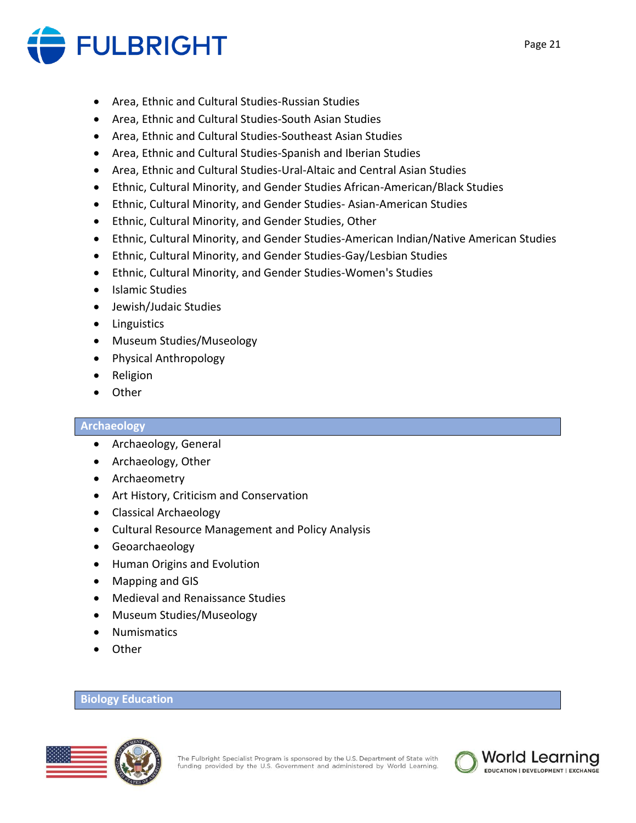

- Area, Ethnic and Cultural Studies-Russian Studies
- Area, Ethnic and Cultural Studies-South Asian Studies
- Area, Ethnic and Cultural Studies-Southeast Asian Studies
- Area, Ethnic and Cultural Studies-Spanish and Iberian Studies
- Area, Ethnic and Cultural Studies-Ural-Altaic and Central Asian Studies
- Ethnic, Cultural Minority, and Gender Studies African-American/Black Studies
- Ethnic, Cultural Minority, and Gender Studies- Asian-American Studies
- Ethnic, Cultural Minority, and Gender Studies, Other
- Ethnic, Cultural Minority, and Gender Studies-American Indian/Native American Studies
- Ethnic, Cultural Minority, and Gender Studies-Gay/Lesbian Studies
- Ethnic, Cultural Minority, and Gender Studies-Women's Studies
- Islamic Studies
- Jewish/Judaic Studies
- Linguistics
- Museum Studies/Museology
- Physical Anthropology
- Religion
- Other

### **Archaeology**

- Archaeology, General
- Archaeology, Other
- Archaeometry
- Art History, Criticism and Conservation
- Classical Archaeology
- Cultural Resource Management and Policy Analysis
- Geoarchaeology
- Human Origins and Evolution
- Mapping and GIS
- Medieval and Renaissance Studies
- Museum Studies/Museology
- Numismatics
- Other

#### **Biology Education**



EDUCATION | DEVELOPMENT | EXCHANGE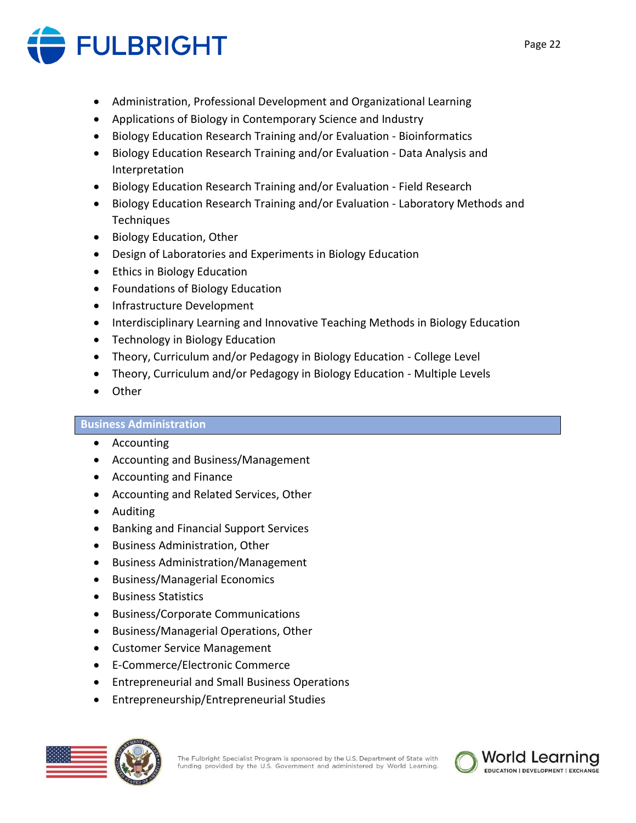

- Administration, Professional Development and Organizational Learning
- Applications of Biology in Contemporary Science and Industry
- Biology Education Research Training and/or Evaluation Bioinformatics
- Biology Education Research Training and/or Evaluation Data Analysis and Interpretation
- Biology Education Research Training and/or Evaluation Field Research
- Biology Education Research Training and/or Evaluation Laboratory Methods and **Techniques**
- Biology Education, Other
- Design of Laboratories and Experiments in Biology Education
- Ethics in Biology Education
- Foundations of Biology Education
- Infrastructure Development
- Interdisciplinary Learning and Innovative Teaching Methods in Biology Education
- Technology in Biology Education
- Theory, Curriculum and/or Pedagogy in Biology Education College Level
- Theory, Curriculum and/or Pedagogy in Biology Education Multiple Levels
- Other

# **Business Administration**

- Accounting
- Accounting and Business/Management
- Accounting and Finance
- Accounting and Related Services, Other
- Auditing
- Banking and Financial Support Services
- Business Administration, Other
- Business Administration/Management
- Business/Managerial Economics
- Business Statistics
- Business/Corporate Communications
- Business/Managerial Operations, Other
- Customer Service Management
- E-Commerce/Electronic Commerce
- Entrepreneurial and Small Business Operations
- Entrepreneurship/Entrepreneurial Studies

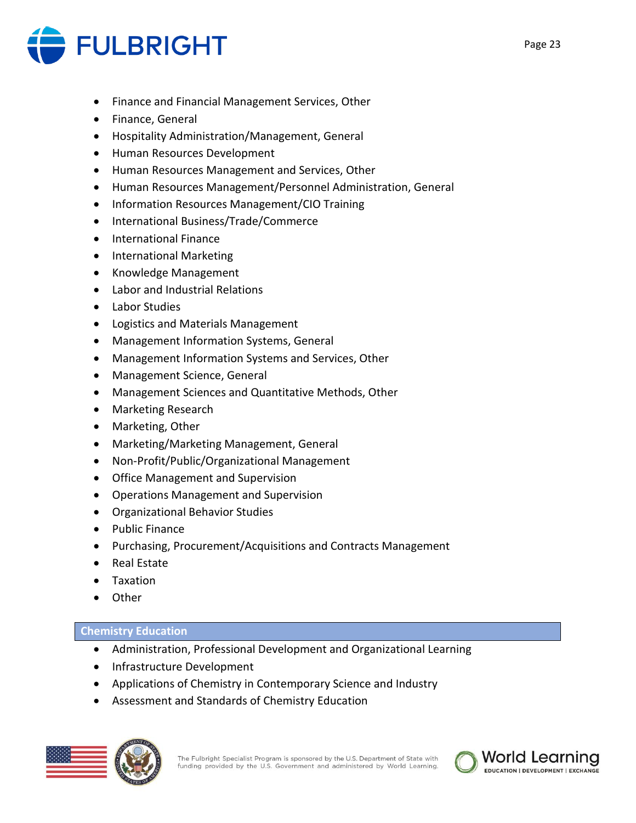

- Finance and Financial Management Services, Other
- Finance, General
- Hospitality Administration/Management, General
- Human Resources Development
- Human Resources Management and Services, Other
- Human Resources Management/Personnel Administration, General
- Information Resources Management/CIO Training
- International Business/Trade/Commerce
- International Finance
- International Marketing
- Knowledge Management
- Labor and Industrial Relations
- Labor Studies
- Logistics and Materials Management
- Management Information Systems, General
- Management Information Systems and Services, Other
- Management Science, General
- Management Sciences and Quantitative Methods, Other
- Marketing Research
- Marketing, Other
- Marketing/Marketing Management, General
- Non-Profit/Public/Organizational Management
- Office Management and Supervision
- Operations Management and Supervision
- Organizational Behavior Studies
- Public Finance
- Purchasing, Procurement/Acquisitions and Contracts Management
- Real Estate
- Taxation
- Other

# **Chemistry Education**

- Administration, Professional Development and Organizational Learning
- Infrastructure Development
- Applications of Chemistry in Contemporary Science and Industry
- Assessment and Standards of Chemistry Education



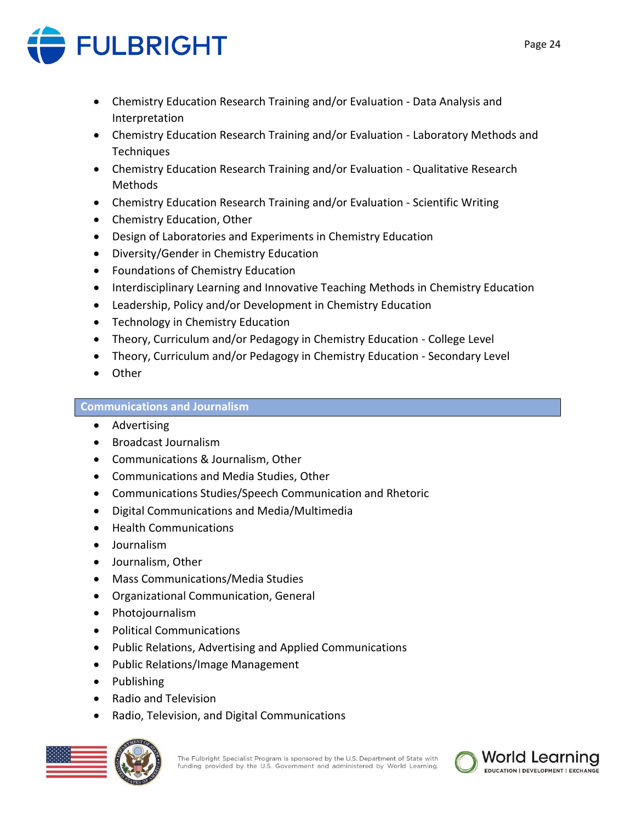

- Chemistry Education Research Training and/or Evaluation Data Analysis and Interpretation
- Chemistry Education Research Training and/or Evaluation Laboratory Methods and Techniques
- Chemistry Education Research Training and/or Evaluation Qualitative Research Methods
- Chemistry Education Research Training and/or Evaluation Scientific Writing
- Chemistry Education, Other
- Design of Laboratories and Experiments in Chemistry Education
- Diversity/Gender in Chemistry Education
- Foundations of Chemistry Education
- Interdisciplinary Learning and Innovative Teaching Methods in Chemistry Education
- Leadership, Policy and/or Development in Chemistry Education
- Technology in Chemistry Education
- Theory, Curriculum and/or Pedagogy in Chemistry Education College Level
- Theory, Curriculum and/or Pedagogy in Chemistry Education Secondary Level
- Other

# **Communications and Journalism**

- Advertising
- Broadcast Journalism
- Communications & Journalism, Other
- Communications and Media Studies, Other
- Communications Studies/Speech Communication and Rhetoric
- Digital Communications and Media/Multimedia
- Health Communications
- Journalism
- Journalism, Other
- Mass Communications/Media Studies
- Organizational Communication, General
- Photojournalism
- Political Communications
- Public Relations, Advertising and Applied Communications
- Public Relations/Image Management
- Publishing
- Radio and Television
- Radio, Television, and Digital Communications



The Fulbright Specialist Program is sponsored by the U.S. Department of State with funding provided by the U.S. Government and administered by World Learning.

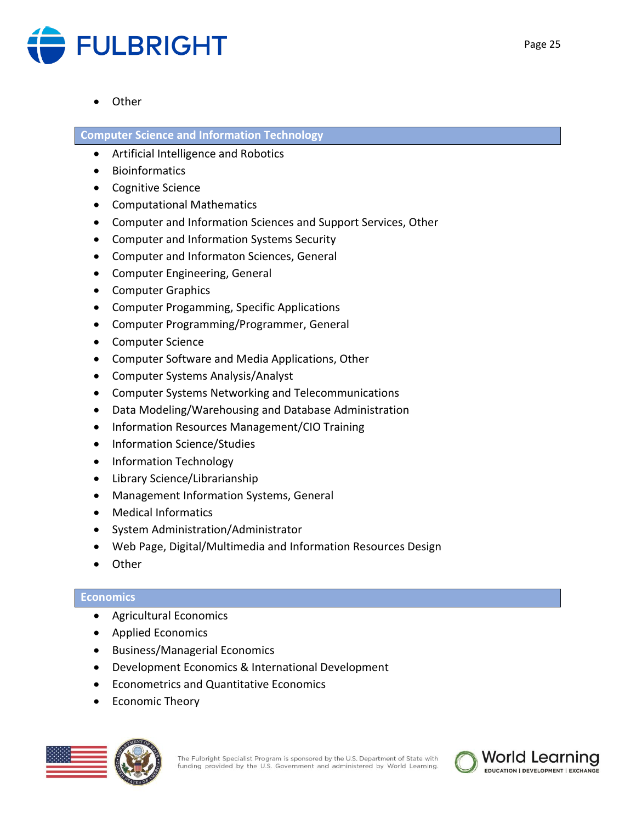

• Other

**Computer Science and Information Technology**

- Artificial Intelligence and Robotics
- Bioinformatics
- Cognitive Science
- Computational Mathematics
- Computer and Information Sciences and Support Services, Other
- Computer and Information Systems Security
- Computer and Informaton Sciences, General
- Computer Engineering, General
- Computer Graphics
- Computer Progamming, Specific Applications
- Computer Programming/Programmer, General
- Computer Science
- Computer Software and Media Applications, Other
- Computer Systems Analysis/Analyst
- Computer Systems Networking and Telecommunications
- Data Modeling/Warehousing and Database Administration
- Information Resources Management/CIO Training
- Information Science/Studies
- Information Technology
- Library Science/Librarianship
- Management Information Systems, General
- Medical Informatics
- System Administration/Administrator
- Web Page, Digital/Multimedia and Information Resources Design
- Other

# **Economics**

- Agricultural Economics
- Applied Economics
- Business/Managerial Economics
- Development Economics & International Development
- Econometrics and Quantitative Economics
- Economic Theory

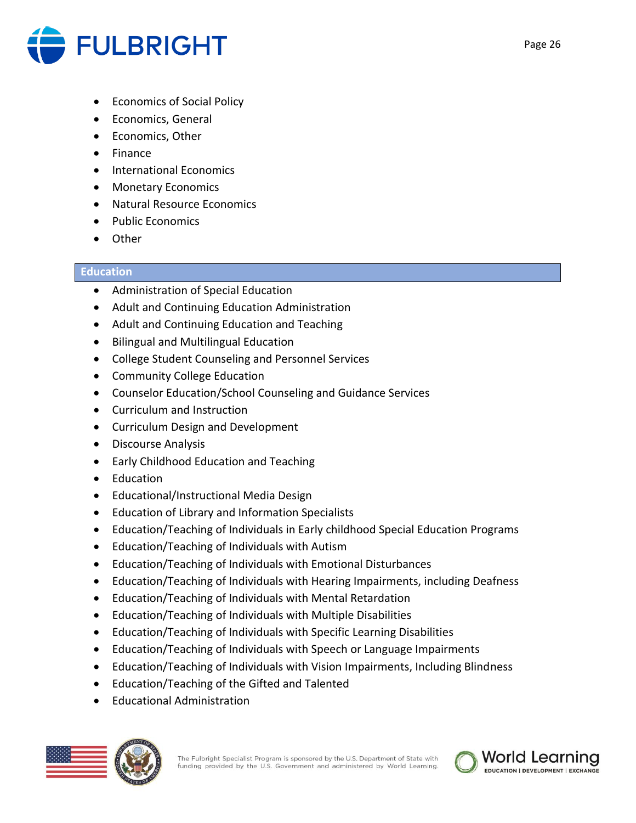

- Economics of Social Policy
- Economics, General
- Economics, Other
- Finance
- International Economics
- Monetary Economics
- Natural Resource Economics
- Public Economics
- Other

# **Education**

- Administration of Special Education
- Adult and Continuing Education Administration
- Adult and Continuing Education and Teaching
- Bilingual and Multilingual Education
- College Student Counseling and Personnel Services
- Community College Education
- Counselor Education/School Counseling and Guidance Services
- Curriculum and Instruction
- Curriculum Design and Development
- Discourse Analysis
- Early Childhood Education and Teaching
- Education
- Educational/Instructional Media Design
- Education of Library and Information Specialists
- Education/Teaching of Individuals in Early childhood Special Education Programs
- Education/Teaching of Individuals with Autism
- Education/Teaching of Individuals with Emotional Disturbances
- Education/Teaching of Individuals with Hearing Impairments, including Deafness
- Education/Teaching of Individuals with Mental Retardation
- Education/Teaching of Individuals with Multiple Disabilities
- Education/Teaching of Individuals with Specific Learning Disabilities
- Education/Teaching of Individuals with Speech or Language Impairments
- Education/Teaching of Individuals with Vision Impairments, Including Blindness
- Education/Teaching of the Gifted and Talented
- Educational Administration

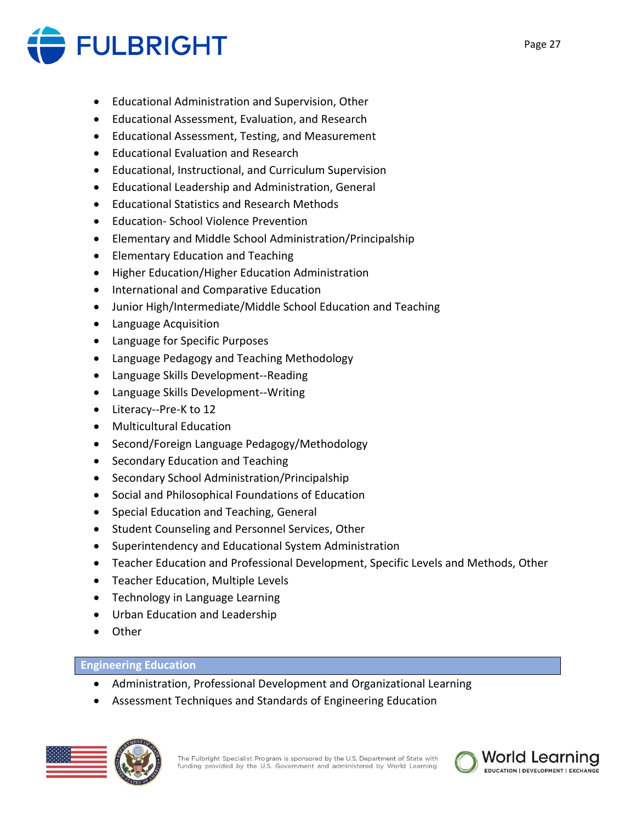

- Educational Administration and Supervision, Other
- Educational Assessment, Evaluation, and Research
- Educational Assessment, Testing, and Measurement
- Educational Evaluation and Research
- Educational, Instructional, and Curriculum Supervision
- Educational Leadership and Administration, General
- Educational Statistics and Research Methods
- Education- School Violence Prevention
- Elementary and Middle School Administration/Principalship
- Elementary Education and Teaching
- Higher Education/Higher Education Administration
- International and Comparative Education
- Junior High/Intermediate/Middle School Education and Teaching
- Language Acquisition
- Language for Specific Purposes
- Language Pedagogy and Teaching Methodology
- Language Skills Development--Reading
- Language Skills Development--Writing
- Literacy--Pre-K to 12
- Multicultural Education
- Second/Foreign Language Pedagogy/Methodology
- Secondary Education and Teaching
- Secondary School Administration/Principalship
- Social and Philosophical Foundations of Education
- Special Education and Teaching, General
- Student Counseling and Personnel Services, Other
- Superintendency and Educational System Administration
- Teacher Education and Professional Development, Specific Levels and Methods, Other
- Teacher Education, Multiple Levels
- Technology in Language Learning
- Urban Education and Leadership
- Other

# **Engineering Education**

- Administration, Professional Development and Organizational Learning
- Assessment Techniques and Standards of Engineering Education



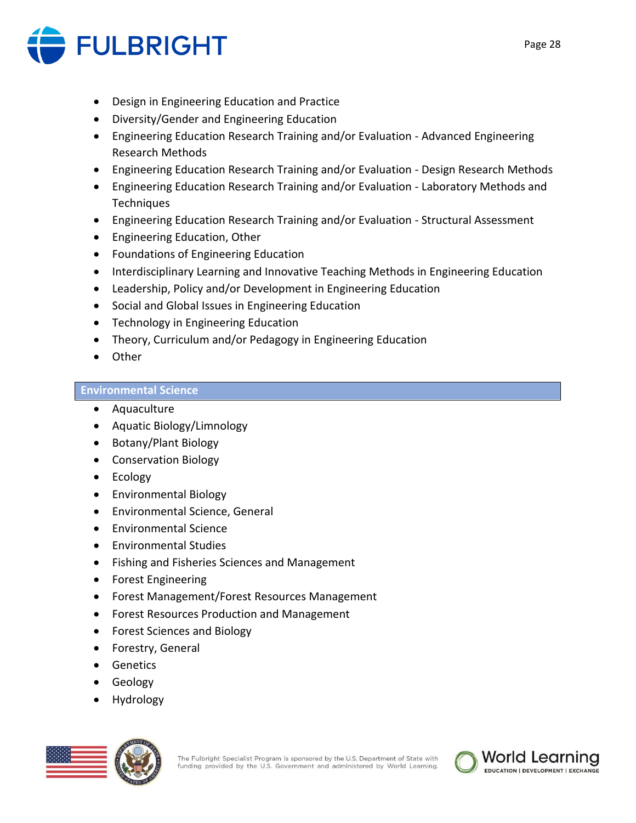

- Design in Engineering Education and Practice
- Diversity/Gender and Engineering Education
- Engineering Education Research Training and/or Evaluation Advanced Engineering Research Methods
- Engineering Education Research Training and/or Evaluation Design Research Methods
- Engineering Education Research Training and/or Evaluation Laboratory Methods and **Techniques**
- Engineering Education Research Training and/or Evaluation Structural Assessment
- Engineering Education, Other
- Foundations of Engineering Education
- Interdisciplinary Learning and Innovative Teaching Methods in Engineering Education
- Leadership, Policy and/or Development in Engineering Education
- Social and Global Issues in Engineering Education
- Technology in Engineering Education
- Theory, Curriculum and/or Pedagogy in Engineering Education
- Other

# **Environmental Science**

- Aquaculture
- Aquatic Biology/Limnology
- Botany/Plant Biology
- Conservation Biology
- Ecology
- Environmental Biology
- Environmental Science, General
- Environmental Science
- Environmental Studies
- Fishing and Fisheries Sciences and Management
- Forest Engineering
- Forest Management/Forest Resources Management
- Forest Resources Production and Management
- Forest Sciences and Biology
- Forestry, General
- Genetics
- Geology
- Hydrology



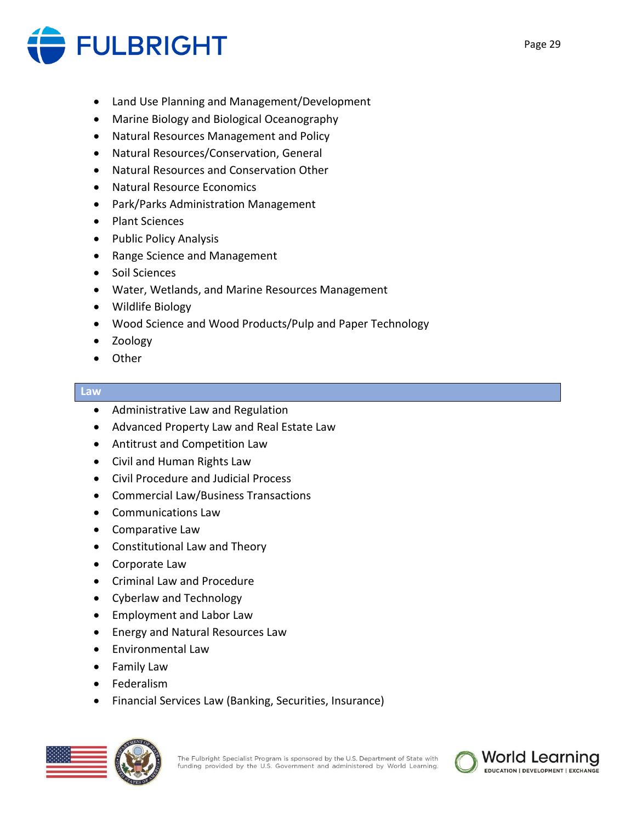

- Land Use Planning and Management/Development
- Marine Biology and Biological Oceanography
- Natural Resources Management and Policy
- Natural Resources/Conservation, General
- Natural Resources and Conservation Other
- Natural Resource Economics
- Park/Parks Administration Management
- Plant Sciences
- Public Policy Analysis
- Range Science and Management
- Soil Sciences
- Water, Wetlands, and Marine Resources Management
- Wildlife Biology
- Wood Science and Wood Products/Pulp and Paper Technology
- Zoology
- Other

#### **Law**

- Administrative Law and Regulation
- Advanced Property Law and Real Estate Law
- Antitrust and Competition Law
- Civil and Human Rights Law
- Civil Procedure and Judicial Process
- Commercial Law/Business Transactions
- Communications Law
- Comparative Law
- Constitutional Law and Theory
- Corporate Law
- Criminal Law and Procedure
- Cyberlaw and Technology
- Employment and Labor Law
- Energy and Natural Resources Law
- Environmental Law
- Family Law
- Federalism
- Financial Services Law (Banking, Securities, Insurance)



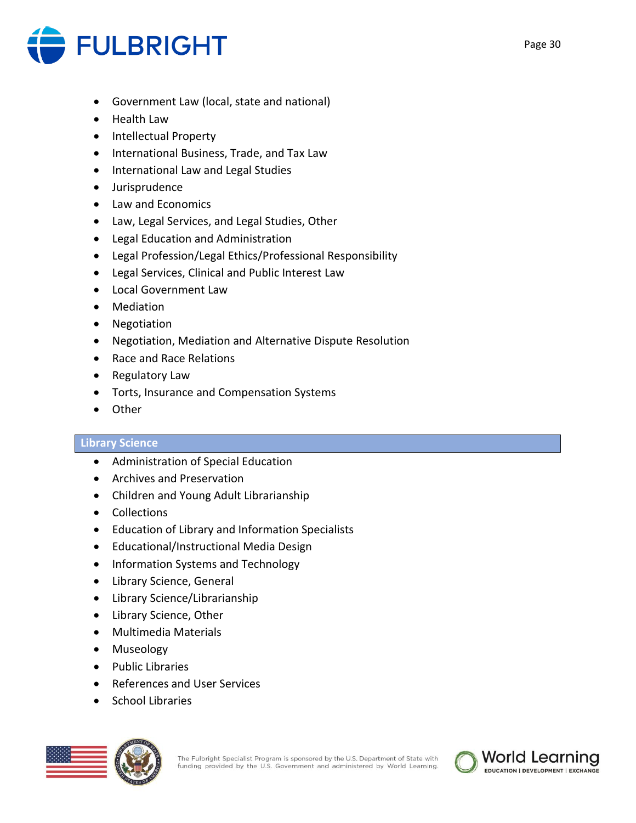

- Government Law (local, state and national)
- Health Law
- Intellectual Property
- International Business, Trade, and Tax Law
- International Law and Legal Studies
- Jurisprudence
- Law and Economics
- Law, Legal Services, and Legal Studies, Other
- Legal Education and Administration
- Legal Profession/Legal Ethics/Professional Responsibility
- Legal Services, Clinical and Public Interest Law
- Local Government Law
- Mediation
- Negotiation
- Negotiation, Mediation and Alternative Dispute Resolution
- Race and Race Relations
- Regulatory Law
- Torts, Insurance and Compensation Systems
- Other

### **Library Science**

- Administration of Special Education
- Archives and Preservation
- Children and Young Adult Librarianship
- Collections
- Education of Library and Information Specialists
- Educational/Instructional Media Design
- Information Systems and Technology
- Library Science, General
- Library Science/Librarianship
- Library Science, Other
- Multimedia Materials
- Museology
- Public Libraries
- References and User Services
- School Libraries

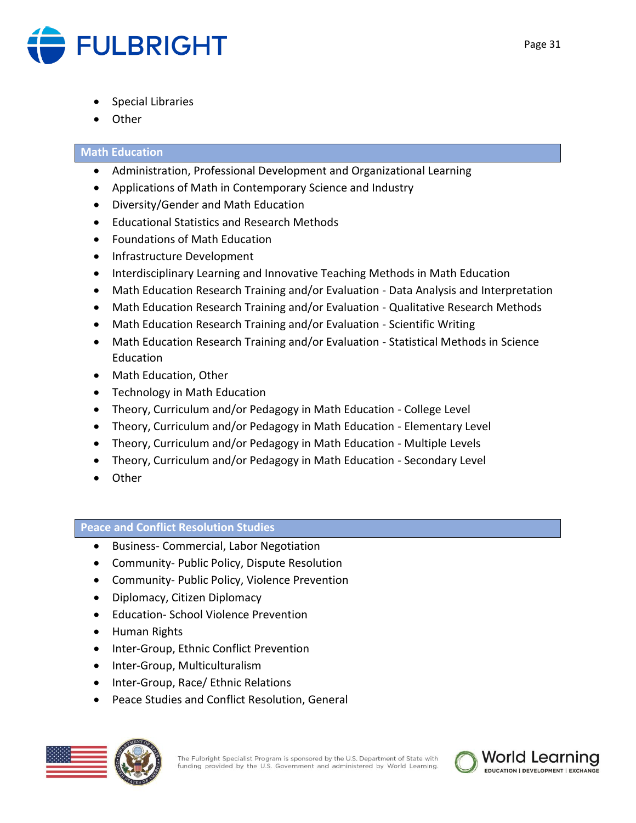

- Special Libraries
- Other

# **Math Education**

- Administration, Professional Development and Organizational Learning
- Applications of Math in Contemporary Science and Industry
- Diversity/Gender and Math Education
- Educational Statistics and Research Methods
- Foundations of Math Education
- Infrastructure Development
- Interdisciplinary Learning and Innovative Teaching Methods in Math Education
- Math Education Research Training and/or Evaluation Data Analysis and Interpretation
- Math Education Research Training and/or Evaluation Qualitative Research Methods
- Math Education Research Training and/or Evaluation Scientific Writing
- Math Education Research Training and/or Evaluation Statistical Methods in Science Education
- Math Education, Other
- Technology in Math Education
- Theory, Curriculum and/or Pedagogy in Math Education College Level
- Theory, Curriculum and/or Pedagogy in Math Education Elementary Level
- Theory, Curriculum and/or Pedagogy in Math Education Multiple Levels
- Theory, Curriculum and/or Pedagogy in Math Education Secondary Level
- Other

# **Peace and Conflict Resolution Studies**

- Business- Commercial, Labor Negotiation
- Community- Public Policy, Dispute Resolution
- Community- Public Policy, Violence Prevention
- Diplomacy, Citizen Diplomacy
- Education- School Violence Prevention
- Human Rights
- Inter-Group, Ethnic Conflict Prevention
- Inter-Group, Multiculturalism
- Inter-Group, Race/ Ethnic Relations
- Peace Studies and Conflict Resolution, General



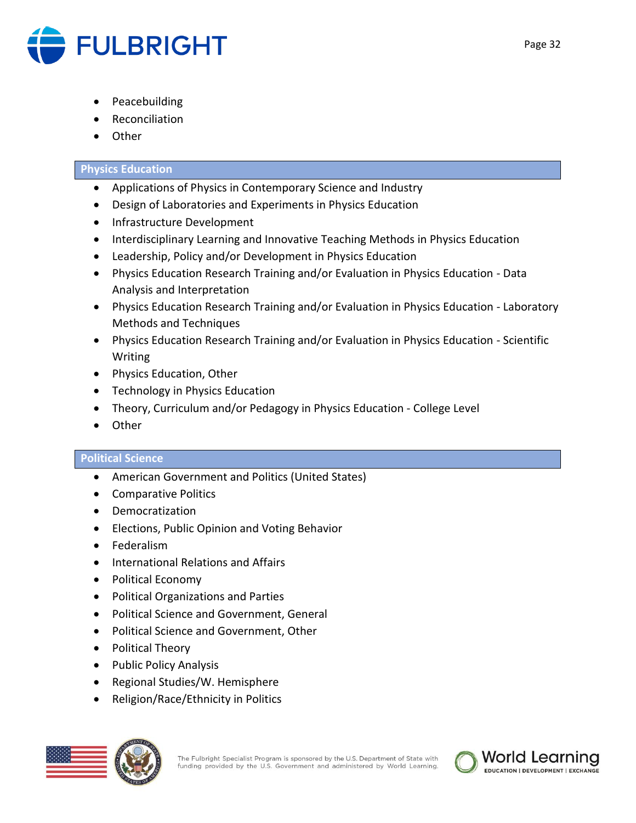

- **Peacebuilding**
- **Reconciliation**
- **Other**

# **Physics Education**

- Applications of Physics in Contemporary Science and Industry
- Design of Laboratories and Experiments in Physics Education
- Infrastructure Development
- Interdisciplinary Learning and Innovative Teaching Methods in Physics Education
- Leadership, Policy and/or Development in Physics Education
- Physics Education Research Training and/or Evaluation in Physics Education Data Analysis and Interpretation
- Physics Education Research Training and/or Evaluation in Physics Education Laboratory Methods and Techniques
- Physics Education Research Training and/or Evaluation in Physics Education Scientific Writing
- Physics Education, Other
- Technology in Physics Education
- Theory, Curriculum and/or Pedagogy in Physics Education College Level
- Other

# **Political Science**

- American Government and Politics (United States)
- Comparative Politics
- Democratization
- Elections, Public Opinion and Voting Behavior
- Federalism
- International Relations and Affairs
- Political Economy
- Political Organizations and Parties
- Political Science and Government, General
- Political Science and Government, Other
- Political Theory
- Public Policy Analysis
- Regional Studies/W. Hemisphere
- Religion/Race/Ethnicity in Politics



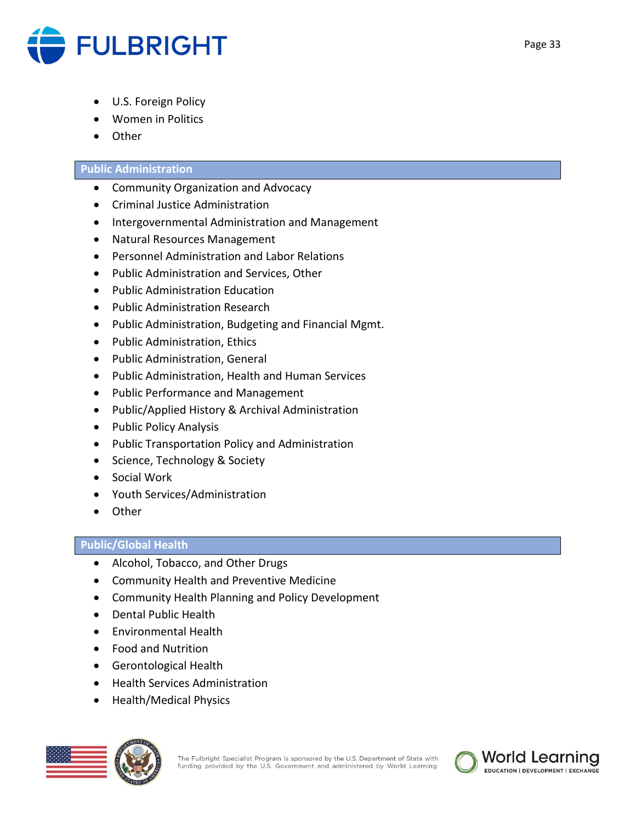

- U.S. Foreign Policy
- Women in Politics
- Other

# **Public Administration**

- Community Organization and Advocacy
- Criminal Justice Administration
- Intergovernmental Administration and Management
- Natural Resources Management
- Personnel Administration and Labor Relations
- Public Administration and Services, Other
- Public Administration Education
- Public Administration Research
- Public Administration, Budgeting and Financial Mgmt.
- Public Administration, Ethics
- Public Administration, General
- Public Administration, Health and Human Services
- Public Performance and Management
- Public/Applied History & Archival Administration
- Public Policy Analysis
- Public Transportation Policy and Administration
- Science, Technology & Society
- Social Work
- Youth Services/Administration
- Other

# **Public/Global Health**

- Alcohol, Tobacco, and Other Drugs
- Community Health and Preventive Medicine
- Community Health Planning and Policy Development
- Dental Public Health
- Environmental Health
- Food and Nutrition
- Gerontological Health
- Health Services Administration
- Health/Medical Physics



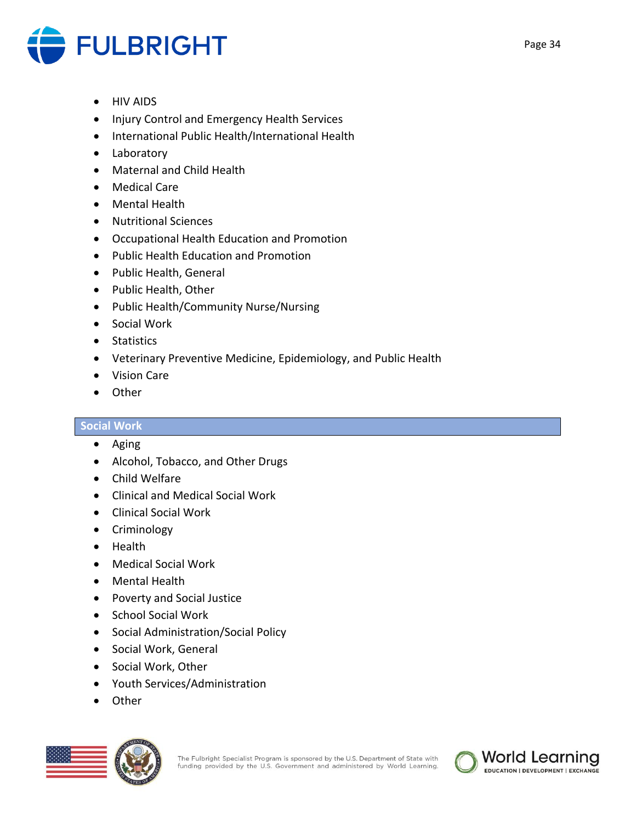

- HIV AIDS
- Injury Control and Emergency Health Services
- International Public Health/International Health
- Laboratory
- Maternal and Child Health
- Medical Care
- Mental Health
- Nutritional Sciences
- Occupational Health Education and Promotion
- Public Health Education and Promotion
- Public Health, General
- Public Health, Other
- Public Health/Community Nurse/Nursing
- Social Work
- Statistics
- Veterinary Preventive Medicine, Epidemiology, and Public Health
- Vision Care
- Other

# **Social Work**

- Aging
- Alcohol, Tobacco, and Other Drugs
- Child Welfare
- Clinical and Medical Social Work
- Clinical Social Work
- Criminology
- Health
- Medical Social Work
- Mental Health
- Poverty and Social Justice
- School Social Work
- Social Administration/Social Policy
- Social Work, General
- Social Work, Other
- Youth Services/Administration
- Other



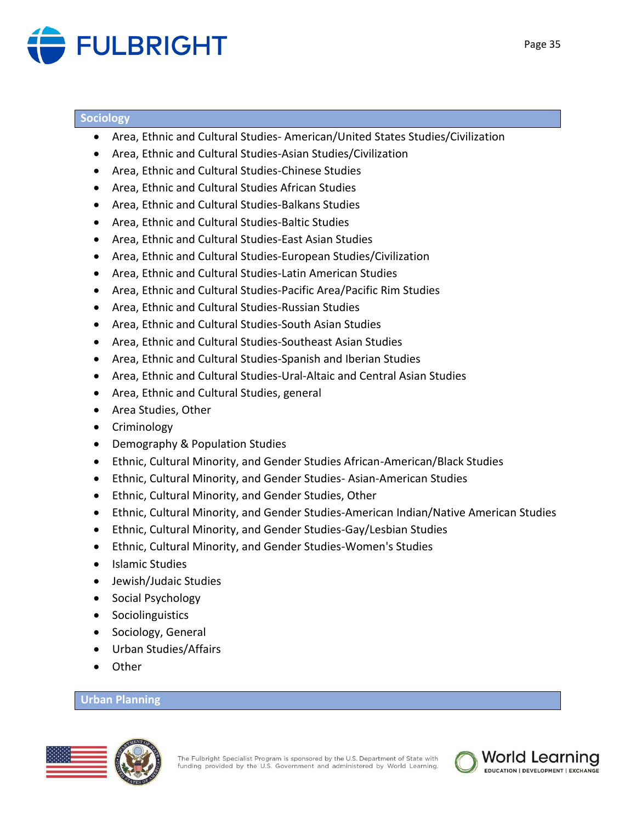

#### **Sociology**

- Area, Ethnic and Cultural Studies- American/United States Studies/Civilization
- Area, Ethnic and Cultural Studies-Asian Studies/Civilization
- Area, Ethnic and Cultural Studies-Chinese Studies
- Area, Ethnic and Cultural Studies African Studies
- Area, Ethnic and Cultural Studies-Balkans Studies
- Area, Ethnic and Cultural Studies-Baltic Studies
- Area, Ethnic and Cultural Studies-East Asian Studies
- Area, Ethnic and Cultural Studies-European Studies/Civilization
- Area, Ethnic and Cultural Studies-Latin American Studies
- Area, Ethnic and Cultural Studies-Pacific Area/Pacific Rim Studies
- Area, Ethnic and Cultural Studies-Russian Studies
- Area, Ethnic and Cultural Studies-South Asian Studies
- Area, Ethnic and Cultural Studies-Southeast Asian Studies
- Area, Ethnic and Cultural Studies-Spanish and Iberian Studies
- Area, Ethnic and Cultural Studies-Ural-Altaic and Central Asian Studies
- Area, Ethnic and Cultural Studies, general
- Area Studies, Other
- Criminology
- Demography & Population Studies
- Ethnic, Cultural Minority, and Gender Studies African-American/Black Studies
- Ethnic, Cultural Minority, and Gender Studies- Asian-American Studies
- Ethnic, Cultural Minority, and Gender Studies, Other
- Ethnic, Cultural Minority, and Gender Studies-American Indian/Native American Studies
- Ethnic, Cultural Minority, and Gender Studies-Gay/Lesbian Studies
- Ethnic, Cultural Minority, and Gender Studies-Women's Studies
- Islamic Studies
- Jewish/Judaic Studies
- Social Psychology
- Sociolinguistics
- Sociology, General
- Urban Studies/Affairs
- Other

# **Urban Planning**